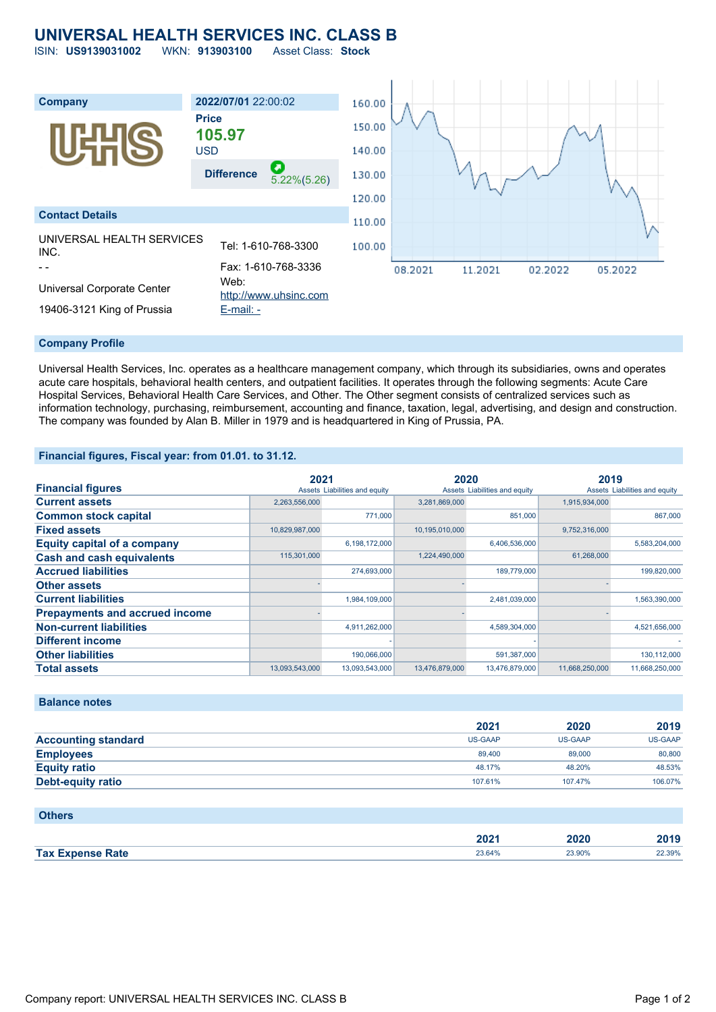# **UNIVERSAL HEALTH SERVICES INC. CLASS B**

ISIN: **US9139031002** WKN: **913903100** Asset Class: **Stock**



#### **Company Profile**

Universal Health Services, Inc. operates as a healthcare management company, which through its subsidiaries, owns and operates acute care hospitals, behavioral health centers, and outpatient facilities. It operates through the following segments: Acute Care Hospital Services, Behavioral Health Care Services, and Other. The Other segment consists of centralized services such as information technology, purchasing, reimbursement, accounting and finance, taxation, legal, advertising, and design and construction. The company was founded by Alan B. Miller in 1979 and is headquartered in King of Prussia, PA.

### **Financial figures, Fiscal year: from 01.01. to 31.12.**

|                                       | 2021           |                               | 2020           |                               | 2019           |                               |
|---------------------------------------|----------------|-------------------------------|----------------|-------------------------------|----------------|-------------------------------|
| <b>Financial figures</b>              |                | Assets Liabilities and equity |                | Assets Liabilities and equity |                | Assets Liabilities and equity |
| <b>Current assets</b>                 | 2,263,556,000  |                               | 3,281,869,000  |                               | 1,915,934,000  |                               |
| <b>Common stock capital</b>           |                | 771,000                       |                | 851,000                       |                | 867,000                       |
| <b>Fixed assets</b>                   | 10,829,987,000 |                               | 10,195,010,000 |                               | 9,752,316,000  |                               |
| <b>Equity capital of a company</b>    |                | 6,198,172,000                 |                | 6,406,536,000                 |                | 5,583,204,000                 |
| <b>Cash and cash equivalents</b>      | 115,301,000    |                               | 1,224,490,000  |                               | 61,268,000     |                               |
| <b>Accrued liabilities</b>            |                | 274.693.000                   |                | 189,779,000                   |                | 199.820.000                   |
| <b>Other assets</b>                   |                |                               |                |                               |                |                               |
| <b>Current liabilities</b>            |                | 1,984,109,000                 |                | 2,481,039,000                 |                | 1,563,390,000                 |
| <b>Prepayments and accrued income</b> |                |                               |                |                               |                |                               |
| <b>Non-current liabilities</b>        |                | 4,911,262,000                 |                | 4,589,304,000                 |                | 4,521,656,000                 |
| <b>Different income</b>               |                |                               |                |                               |                |                               |
| <b>Other liabilities</b>              |                | 190,066,000                   |                | 591,387,000                   |                | 130,112,000                   |
| <b>Total assets</b>                   | 13,093,543,000 | 13,093,543,000                | 13,476,879,000 | 13,476,879,000                | 11,668,250,000 | 11,668,250,000                |

## **Balance notes**

|                            | 2021           | 2020    | 2019    |
|----------------------------|----------------|---------|---------|
| <b>Accounting standard</b> | <b>US-GAAP</b> | US-GAAP | US-GAAP |
| <b>Employees</b>           | 89,400         | 89,000  | 80,800  |
| <b>Equity ratio</b>        | 48.17%         | 48.20%  | 48.53%  |
| <b>Debt-equity ratio</b>   | 107.61%        | 107.47% | 106.07% |

| <b>Others</b>           |        |        |        |
|-------------------------|--------|--------|--------|
|                         | 2021   | 2020   | 2019   |
| <b>Tax Expense Rate</b> | 23.64% | 23.90% | 22.39% |